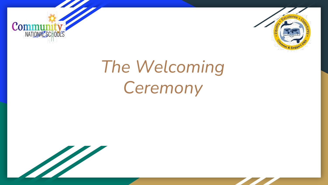



# *The Welcoming Ceremony*

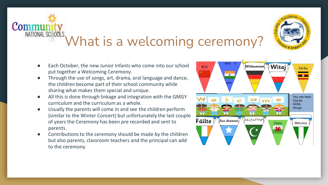

- Each October, the new Junior Infants who come into our school put together a Welcoming Ceremony.
- Through the use of songs, art, drama, oral language and dance, the children become part of their school community while sharing what makes them special and unique.
- All this is done through linkage and integration with the GMGY curriculum and the curriculum as a whole.
- Usually the parents will come in and see the children perform (similar to the Winter Concert) but unfortunately the last couple of years the Ceremony has been pre recorded and sent to parents.
- Contributions to the ceremony should be made by the children but also parents, classroom teachers and the principal can add to the ceremony

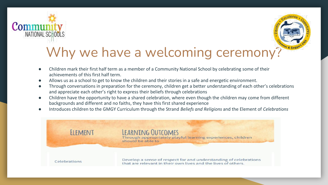



## Why we have a welcoming ceremony?

- Children mark their first half term as a member of a Community National School by celebrating some of their achievements of this first half term.
- Allows us as a school to get to know the children and their stories in a safe and energetic environment.
- Through conversations in preparation for the ceremony, children get a better understanding of each other's celebrations and appreciate each other's right to express their beliefs through celebrations
- Children have the opportunity to have a shared celebration, where even though the children may come from different backgrounds and different and no faiths, they have this first shared experience
- Introduces children to the GMGY Curriculum through the Strand *Beliefs and Religions* and the Element of *Celebrations*

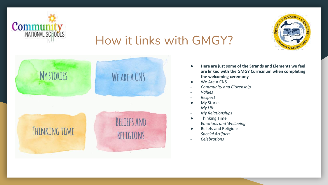



### How it links with GMGY?



- **Here are just some of the Strands and Elements we feel are linked with the GMGY Curriculum when completing the welcoming ceremony**
- We Are A CNS
- *Community and Citizenship*
- *Values*
- *Respect*
- My Stories
- *My Life*
- *My Relationships*
- Thinking Time
- E*motions and Wellbeing*
- Beliefs and Religions
- *Special Artifacts*
- *Celebrations*